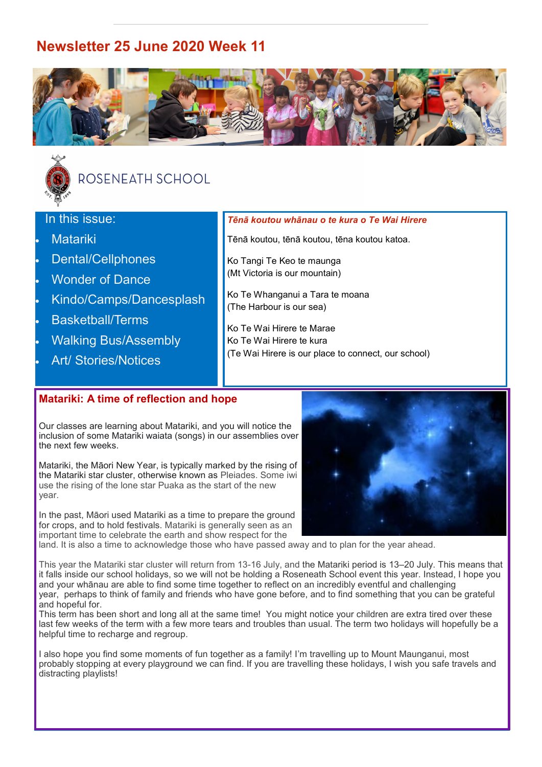# **Newsletter 25 June 2020 Week 11**





# ROSENEATH SCHOOL

## In this issue:

- **Matariki**
- Dental/Cellphones
- **Wonder of Dance**
- Kindo/Camps/Dancesplash
- Basketball/Terms
- Walking Bus/Assembly
- Art/ Stories/Notices

#### *Tēnā koutou whānau o te kura o Te Wai Hirere*

Tēnā koutou, tēnā koutou, tēna koutou katoa.

Ko Tangi Te Keo te maunga (Mt Victoria is our mountain)

Ko Te Whanganui a Tara te moana (The Harbour is our sea)

Ko Te Wai Hirere te Marae Ko Te Wai Hirere te kura (Te Wai Hirere is our place to connect, our school)

## **Matariki: A time of reflection and hope**

Our classes are learning about Matariki, and you will notice the inclusion of some Matariki waiata (songs) in our assemblies over the next few weeks.

Matariki, the Māori New Year, is typically marked by the rising of the Matariki star cluster, otherwise known as Pleiades. Some iwi use the rising of the lone star Puaka as the start of the new year.

In the past, Māori used Matariki as a time to prepare the ground for crops, and to hold festivals. Matariki is generally seen as an important time to celebrate the earth and show respect for the



This year the Matariki star cluster will return from 13-16 July, and the Matariki period is 13–20 July. This means that it falls inside our school holidays, so we will not be holding a Roseneath School event this year. Instead, I hope you and your whānau are able to find some time together to reflect on an incredibly eventful and challenging year, perhaps to think of family and friends who have gone before, and to find something that you can be grateful and hopeful for.

This term has been short and long all at the same time! You might notice your children are extra tired over these last few weeks of the term with a few more tears and troubles than usual. The term two holidays will hopefully be a helpful time to recharge and regroup.

I also hope you find some moments of fun together as a family! I'm travelling up to Mount Maunganui, most probably stopping at every playground we can find. If you are travelling these holidays, I wish you safe travels and distracting playlists!

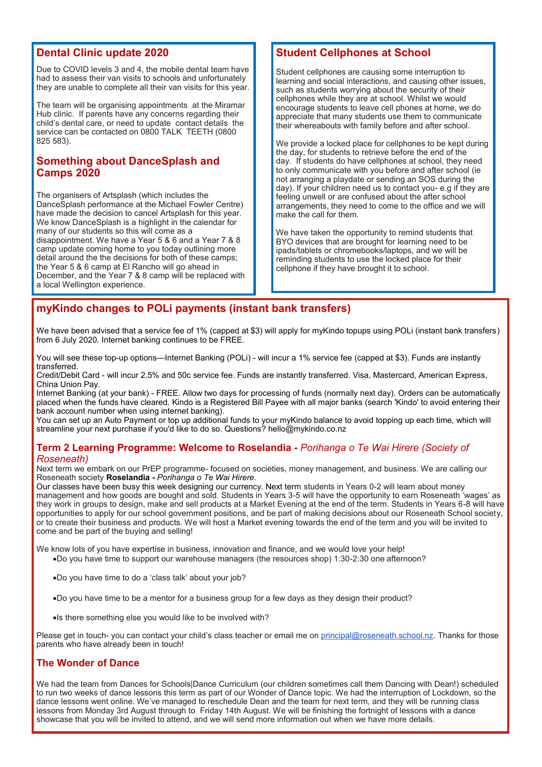## **Dental Clinic update 2020**

Due to COVID levels 3 and 4, the mobile dental team have had to assess their van visits to schools and unfortunately they are unable to complete all their van visits for this year.

The team will be organising appointments at the Miramar Hub clinic. If parents have any concerns regarding their child's dental care, or need to update contact details the service can be contacted on 0800 TALK TEETH (0800 825 583).

### **Something about DanceSplash and Camps 2020**

The organisers of Artsplash (which includes the DanceSplash performance at the Michael Fowler Centre) have made the decision to cancel Artsplash for this year. We know DanceSplash is a highlight in the calendar for many of our students so this will come as a disappointment. We have a Year 5 & 6 and a Year 7 & 8 camp update coming home to you today outlining more detail around the the decisions for both of these camps; the Year 5 & 6 camp at El Rancho will go ahead in December, and the Year 7 & 8 camp will be replaced with a local Wellington experience.

## **Student Cellphones at School**

Student cellphones are causing some interruption to learning and social interactions, and causing other issues, such as students worrying about the security of their cellphones while they are at school. Whilst we would encourage students to leave cell phones at home, we do appreciate that many students use them to communicate their whereabouts with family before and after school.

We provide a locked place for cellphones to be kept during the day, for students to retrieve before the end of the day. If students do have cellphones at school, they need to only communicate with you before and after school (ie not arranging a playdate or sending an SOS during the day). If your children need us to contact you- e.g if they are feeling unwell or are confused about the after school arrangements, they need to come to the office and we will make the call for them.

We have taken the opportunity to remind students that BYO devices that are brought for learning need to be ipads/tablets or chromebooks/laptops, and we will be reminding students to use the locked place for their cellphone if they have brought it to school.

## **myKindo changes to POLi payments (instant bank transfers)**

We have been advised that a service fee of 1% (capped at \$3) will apply for myKindo topups using POLi (instant bank transfers) from 6 July 2020. Internet banking continues to be FREE.

You will see these top-up options—Internet Banking (POLi) - will incur a 1% service fee (capped at \$3). Funds are instantly transferred.

Credit/Debit Card - will incur 2.5% and 50c service fee. Funds are instantly transferred. Visa, Mastercard, American Express, China Union Pay.

Internet Banking (at your bank) - FREE. Allow two days for processing of funds (normally next day). Orders can be automatically placed when the funds have cleared. Kindo is a Registered Bill Payee with all major banks (search 'Kindo' to avoid entering their bank account number when using internet banking).

You can set up an Auto Payment or top up additional funds to your myKindo balance to avoid topping up each time, which will streamline your next purchase if you'd like to do so. Questions? hello@mykindo.co.nz

#### **Term 2 Learning Programme: Welcome to Roselandia -** *Porihanga o Te Wai Hirere (Society of Roseneath)*

Next term we embark on our PrEP programme- focused on societies, money management, and business. We are calling our Roseneath society **Roselandia -** *Porihanga o Te Wai Hirere.*

Our classes have been busy this week designing our currency. Next term students in Years 0-2 will learn about money management and how goods are bought and sold. Students in Years 3-5 will have the opportunity to earn Roseneath 'wages' as they work in groups to design, make and sell products at a Market Evening at the end of the term. Students in Years 6-8 will have opportunities to apply for our school government positions, and be part of making decisions about our Roseneath School society, or to create their business and products. We will host a Market evening towards the end of the term and you will be invited to come and be part of the buying and selling!

We know lots of you have expertise in business, innovation and finance, and we would love your help!

- •Do you have time to support our warehouse managers (the resources shop) 1:30-2:30 one afternoon?
- •Do you have time to do a 'class talk' about your job?
- •Do you have time to be a mentor for a business group for a few days as they design their product?
- •Is there something else you would like to be involved with?

Please get in touch- you can contact your child's class teacher or email me on [principal@roseneath.school.nz.](mailto:principal@roseneath.school.nz) Thanks for those parents who have already been in touch!

### **The Wonder of Dance**

We had the team from Dances for Schools|Dance Curriculum (our children sometimes call them Dancing with Dean!) scheduled to run two weeks of dance lessons this term as part of our Wonder of Dance topic. We had the interruption of Lockdown, so the dance lessons went online. We've managed to reschedule Dean and the team for next term, and they will be running class lessons from Monday 3rd August through to Friday 14th August. We will be finishing the fortnight of lessons with a dance showcase that you will be invited to attend, and we will send more information out when we have more details.